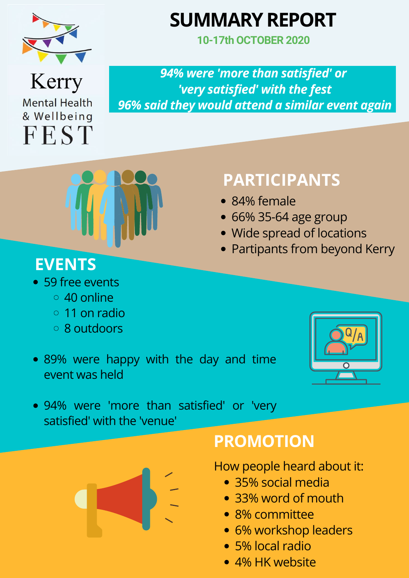

# **SUMMARY REPORT**

How people heard about it:

- 35% social media
- 33% word of mouth
- 8% committee
- 6% workshop leaders
- 5% local radio
- 4% HK website

59 free events 40 online

- 11 on radio  $\bigcirc$ 8 outdoors
- 89% were happy with the day and time event was held



94% were 'more than satisfied' or 'very satisfied' with the 'venue'



*94% were 'more than satisfied' or 'very satisfied' with the fest 96% said they would attend a similar event again*



### **PARTICIPANTS**

- 84% female
- 66% 35-64 age group
- Wide spread of locations
- Partipants from beyond Kerry

### **PROMOTION**

## **EVENTS**

**10-17th OCTOBER 2020**

Kerry **Mental Health** & Wellbeing **FEST**